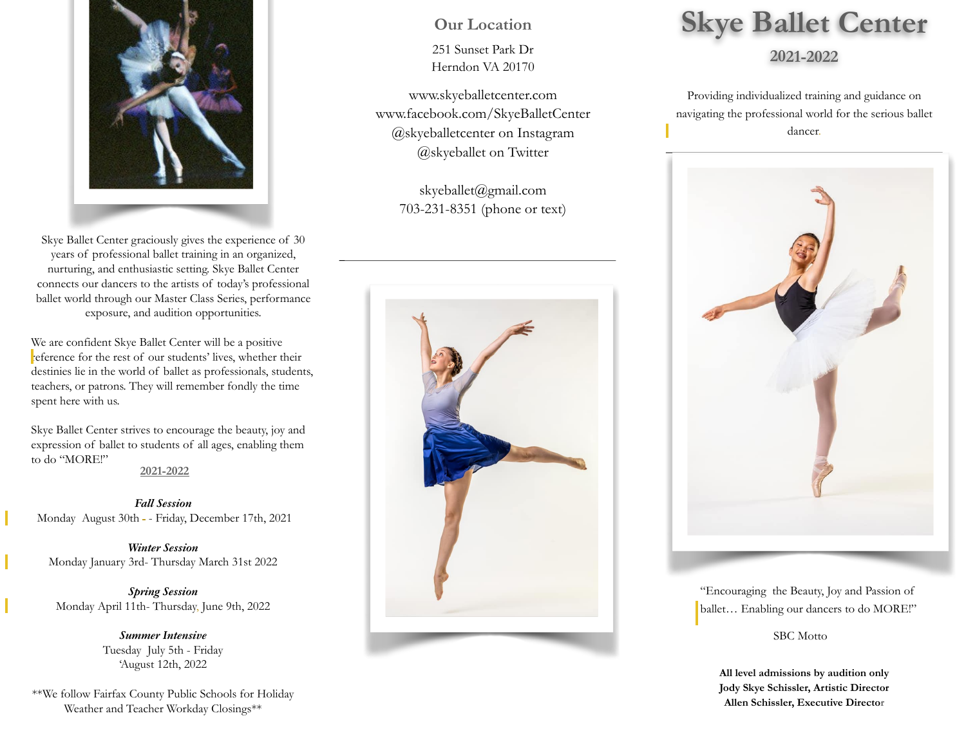

Skye Ballet Center graciously gives the experience of 30 years of professional ballet training in an organized, nurturing, and enthusiastic setting. Skye Ballet Center connects our dancers to the artists of today's professional ballet world through our Master Class Series, performance exposure, and audition opportunities.

We are confident Skye Ballet Center will be a positive reference for the rest of our students' lives, whether their destinies lie in the world of ballet as professionals, students, teachers, or patrons. They will remember fondly the time spent here with us.

Skye Ballet Center strives to encourage the beauty, joy and expression of ballet to students of all ages, enabling them to do "MORE!"

**2021-2022** 

*Fall Session*  Monday August 30th - Friday, December 17th, 2021

*Winter Session*  Monday January 3rd- Thursday March 31st 2022

*Spring Session*  Monday April 11th- Thursday, June 9th, 2022

> *Summer Intensive*  Tuesday July 5th - Friday 'August 12th, 2022

\*\*We follow Fairfax County Public Schools for Holiday Weather and Teacher Workday Closings\*\*

## **Our Location**

251 Sunset Park Dr Herndon VA 20170

[www.skyeballetcenter.com](http://www.skyeballetcenter.com)  [www.facebook.com/SkyeBalletCenter](http://www.facebook.com/SkyeBalletCenter?ref=stream) @skyeballetcenter on Instagram @skyeballet on Twitter

> [skyeballet@gmail.com](mailto:skyeballet@gmail.com) 703-231-8351 (phone or text)



# **Skye Ballet Center**

### **2021-2022**

Providing individualized training and guidance on navigating the professional world for the serious ballet dancer.



"Encouraging the Beauty, Joy and Passion of ballet… Enabling our dancers to do MORE!"

SBC Motto

**All level admissions by audition only Jody Skye Schissler, Artistic Director Allen Schissler, Executive Director**